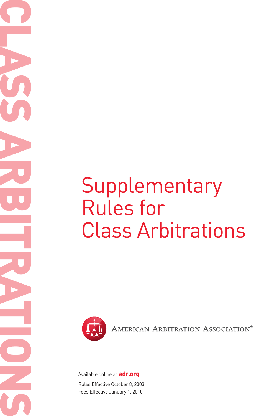# Supplementary Rules for Class Arbitrations



AMERICAN ARBITRATION ASSOCIATION®

Rules Effective October 8, 2003 Fees Effective January 1, 2010 Available online at **adr.org**

Rules Effective October 8, 2003. Fees Effective January 1, 2010. CLASS ARBITRATIONS **1**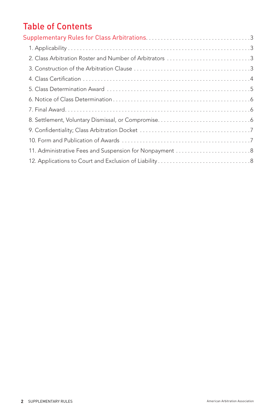### Table of Contents

| 2. Class Arbitration Roster and Number of Arbitrators 3 |  |
|---------------------------------------------------------|--|
|                                                         |  |
|                                                         |  |
|                                                         |  |
|                                                         |  |
|                                                         |  |
|                                                         |  |
|                                                         |  |
|                                                         |  |
| 11. Administrative Fees and Suspension for Nonpayment 8 |  |
|                                                         |  |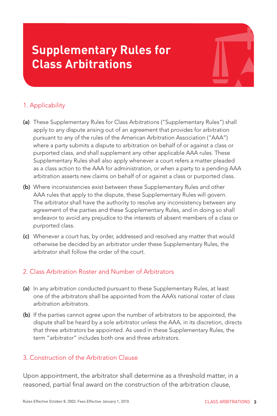## **Supplementary Rules for Class Arbitrations**



#### 1. Applicability

- (a) These Supplementary Rules for Class Arbitrations ("Supplementary Rules") shall apply to any dispute arising out of an agreement that provides for arbitration pursuant to any of the rules of the American Arbitration Association ("AAA") where a party submits a dispute to arbitration on behalf of or against a class or purported class, and shall supplement any other applicable AAA rules. These Supplementary Rules shall also apply whenever a court refers a matter pleaded as a class action to the AAA for administration, or when a party to a pending AAA arbitration asserts new claims on behalf of or against a class or purported class.
- (b) Where inconsistencies exist between these Supplementary Rules and other AAA rules that apply to the dispute, these Supplementary Rules will govern. The arbitrator shall have the authority to resolve any inconsistency between any agreement of the parties and these Supplementary Rules, and in doing so shall endeavor to avoid any prejudice to the interests of absent members of a class or purported class.
- (c) Whenever a court has, by order, addressed and resolved any matter that would otherwise be decided by an arbitrator under these Supplementary Rules, the arbitrator shall follow the order of the court.

#### 2. Class Arbitration Roster and Number of Arbitrators

- (a) In any arbitration conducted pursuant to these Supplementary Rules, at least one of the arbitrators shall be appointed from the AAA's national roster of class arbitration arbitrators.
- (b) If the parties cannot agree upon the number of arbitrators to be appointed, the dispute shall be heard by a sole arbitrator unless the AAA, in its discretion, directs that three arbitrators be appointed. As used in these Supplementary Rules, the term "arbitrator" includes both one and three arbitrators.

#### 3. Construction of the Arbitration Clause

Upon appointment, the arbitrator shall determine as a threshold matter, in a reasoned, partial final award on the construction of the arbitration clause,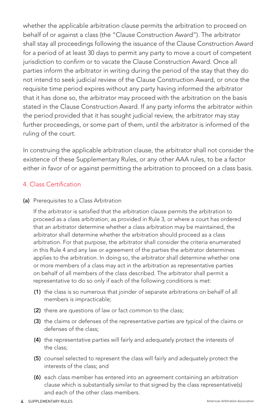whether the applicable arbitration clause permits the arbitration to proceed on behalf of or against a class (the "Clause Construction Award"). The arbitrator shall stay all proceedings following the issuance of the Clause Construction Award for a period of at least 30 days to permit any party to move a court of competent jurisdiction to confirm or to vacate the Clause Construction Award. Once all parties inform the arbitrator in writing during the period of the stay that they do not intend to seek judicial review of the Clause Construction Award, or once the requisite time period expires without any party having informed the arbitrator that it has done so, the arbitrator may proceed with the arbitration on the basis stated in the Clause Construction Award. If any party informs the arbitrator within the period provided that it has sought judicial review, the arbitrator may stay further proceedings, or some part of them, until the arbitrator is informed of the ruling of the court.

In construing the applicable arbitration clause, the arbitrator shall not consider the existence of these Supplementary Rules, or any other AAA rules, to be a factor either in favor of or against permitting the arbitration to proceed on a class basis.

#### 4. Class Certification

#### (a) Prerequisites to a Class Arbitration

If the arbitrator is satisfied that the arbitration clause permits the arbitration to proceed as a class arbitration, as provided in Rule 3, or where a court has ordered that an arbitrator determine whether a class arbitration may be maintained, the arbitrator shall determine whether the arbitration should proceed as a class arbitration. For that purpose, the arbitrator shall consider the criteria enumerated in this Rule 4 and any law or agreement of the parties the arbitrator determines applies to the arbitration. In doing so, the arbitrator shall determine whether one or more members of a class may act in the arbitration as representative parties on behalf of all members of the class described. The arbitrator shall permit a representative to do so only if each of the following conditions is met:

- (1) the class is so numerous that joinder of separate arbitrations on behalf of all members is impracticable;
- (2) there are questions of law or fact common to the class;
- (3) the claims or defenses of the representative parties are typical of the claims or defenses of the class:
- (4) the representative parties will fairly and adequately protect the interests of the class;
- (5) counsel selected to represent the class will fairly and adequately protect the interests of the class; and
- (6) each class member has entered into an agreement containing an arbitration clause which is substantially similar to that signed by the class representative(s) and each of the other class members.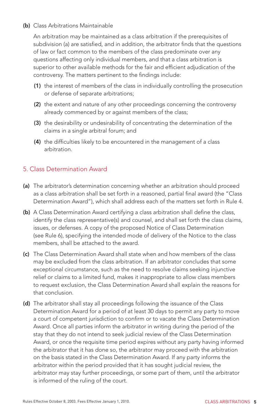#### (b) Class Arbitrations Maintainable

An arbitration may be maintained as a class arbitration if the prerequisites of subdivision (a) are satisfied, and in addition, the arbitrator finds that the questions of law or fact common to the members of the class predominate over any questions affecting only individual members, and that a class arbitration is superior to other available methods for the fair and efficient adjudication of the controversy. The matters pertinent to the findings include:

- (1) the interest of members of the class in individually controlling the prosecution or defense of separate arbitrations;
- (2) the extent and nature of any other proceedings concerning the controversy already commenced by or against members of the class;
- (3) the desirability or undesirability of concentrating the determination of the claims in a single arbitral forum; and
- (4) the difficulties likely to be encountered in the management of a class arbitration.

#### 5. Class Determination Award

- (a) The arbitrator's determination concerning whether an arbitration should proceed as a class arbitration shall be set forth in a reasoned, partial final award (the "Class Determination Award"), which shall address each of the matters set forth in Rule 4.
- (b) A Class Determination Award certifying a class arbitration shall define the class, identify the class representative(s) and counsel, and shall set forth the class claims, issues, or defenses. A copy of the proposed Notice of Class Determination (see Rule 6), specifying the intended mode of delivery of the Notice to the class members, shall be attached to the award.
- (c) The Class Determination Award shall state when and how members of the class may be excluded from the class arbitration. If an arbitrator concludes that some exceptional circumstance, such as the need to resolve claims seeking injunctive relief or claims to a limited fund, makes it inappropriate to allow class members to request exclusion, the Class Determination Award shall explain the reasons for that conclusion.
- (d) The arbitrator shall stay all proceedings following the issuance of the Class Determination Award for a period of at least 30 days to permit any party to move a court of competent jurisdiction to confirm or to vacate the Class Determination Award. Once all parties inform the arbitrator in writing during the period of the stay that they do not intend to seek judicial review of the Class Determination Award, or once the requisite time period expires without any party having informed the arbitrator that it has done so, the arbitrator may proceed with the arbitration on the basis stated in the Class Determination Award. If any party informs the arbitrator within the period provided that it has sought judicial review, the arbitrator may stay further proceedings, or some part of them, until the arbitrator is informed of the ruling of the court.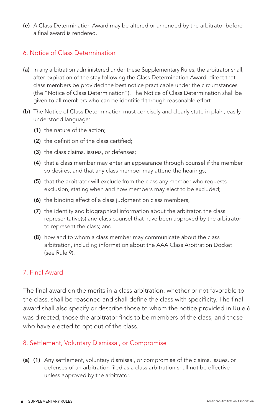(e) A Class Determination Award may be altered or amended by the arbitrator before a final award is rendered.

#### 6. Notice of Class Determination

- (a) In any arbitration administered under these Supplementary Rules, the arbitrator shall, after expiration of the stay following the Class Determination Award, direct that class members be provided the best notice practicable under the circumstances (the "Notice of Class Determination"). The Notice of Class Determination shall be given to all members who can be identified through reasonable effort.
- (b) The Notice of Class Determination must concisely and clearly state in plain, easily understood language:
	- (1) the nature of the action;
	- (2) the definition of the class certified;
	- (3) the class claims, issues, or defenses;
	- (4) that a class member may enter an appearance through counsel if the member so desires, and that any class member may attend the hearings;
	- (5) that the arbitrator will exclude from the class any member who requests exclusion, stating when and how members may elect to be excluded;
	- (6) the binding effect of a class judgment on class members;
	- (7) the identity and biographical information about the arbitrator, the class representative(s) and class counsel that have been approved by the arbitrator to represent the class; and
	- (8) how and to whom a class member may communicate about the class arbitration, including information about the AAA Class Arbitration Docket (see Rule 9).

#### 7. Final Award

The final award on the merits in a class arbitration, whether or not favorable to the class, shall be reasoned and shall define the class with specificity. The final award shall also specify or describe those to whom the notice provided in Rule 6 was directed, those the arbitrator finds to be members of the class, and those who have elected to opt out of the class.

#### 8. Settlement, Voluntary Dismissal, or Compromise

(a) (1) Any settlement, voluntary dismissal, or compromise of the claims, issues, or defenses of an arbitration filed as a class arbitration shall not be effective unless approved by the arbitrator.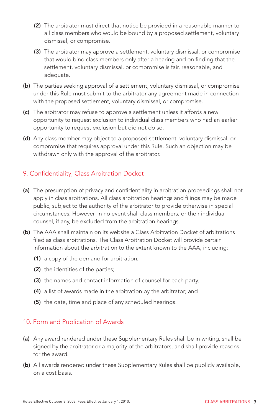- (2) The arbitrator must direct that notice be provided in a reasonable manner to all class members who would be bound by a proposed settlement, voluntary dismissal, or compromise.
- (3) The arbitrator may approve a settlement, voluntary dismissal, or compromise that would bind class members only after a hearing and on finding that the settlement, voluntary dismissal, or compromise is fair, reasonable, and adequate.
- (b) The parties seeking approval of a settlement, voluntary dismissal, or compromise under this Rule must submit to the arbitrator any agreement made in connection with the proposed settlement, voluntary dismissal, or compromise.
- (c) The arbitrator may refuse to approve a settlement unless it affords a new opportunity to request exclusion to individual class members who had an earlier opportunity to request exclusion but did not do so.
- (d) Any class member may object to a proposed settlement, voluntary dismissal, or compromise that requires approval under this Rule. Such an objection may be withdrawn only with the approval of the arbitrator.

#### 9. Confidentiality; Class Arbitration Docket

- (a) The presumption of privacy and confidentiality in arbitration proceedings shall not apply in class arbitrations. All class arbitration hearings and filings may be made public, subject to the authority of the arbitrator to provide otherwise in special circumstances. However, in no event shall class members, or their individual counsel, if any, be excluded from the arbitration hearings.
- (b) The AAA shall maintain on its website a Class Arbitration Docket of arbitrations filed as class arbitrations. The Class Arbitration Docket will provide certain information about the arbitration to the extent known to the AAA, including:
	- (1) a copy of the demand for arbitration;
	- (2) the identities of the parties;
	- (3) the names and contact information of counsel for each party;
	- (4) a list of awards made in the arbitration by the arbitrator; and
	- (5) the date, time and place of any scheduled hearings.

#### 10. Form and Publication of Awards

- (a) Any award rendered under these Supplementary Rules shall be in writing, shall be signed by the arbitrator or a majority of the arbitrators, and shall provide reasons for the award.
- (b) All awards rendered under these Supplementary Rules shall be publicly available, on a cost basis.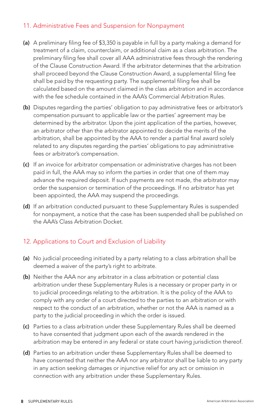#### 11. Administrative Fees and Suspension for Nonpayment

- (a) A preliminary filing fee of \$3,350 is payable in full by a party making a demand for treatment of a claim, counterclaim, or additional claim as a class arbitration. The preliminary filing fee shall cover all AAA administrative fees through the rendering of the Clause Construction Award. If the arbitrator determines that the arbitration shall proceed beyond the Clause Construction Award, a supplemental filing fee shall be paid by the requesting party. The supplemental filing fee shall be calculated based on the amount claimed in the class arbitration and in accordance with the fee schedule contained in the AAA's Commercial Arbitration Rules.
- (b) Disputes regarding the parties' obligation to pay administrative fees or arbitrator's compensation pursuant to applicable law or the parties' agreement may be determined by the arbitrator. Upon the joint application of the parties, however, an arbitrator other than the arbitrator appointed to decide the merits of the arbitration, shall be appointed by the AAA to render a partial final award solely related to any disputes regarding the parties' obligations to pay administrative fees or arbitrator's compensation.
- (c) If an invoice for arbitrator compensation or administrative charges has not been paid in full, the AAA may so inform the parties in order that one of them may advance the required deposit. If such payments are not made, the arbitrator may order the suspension or termination of the proceedings. If no arbitrator has yet been appointed, the AAA may suspend the proceedings.
- (d) If an arbitration conducted pursuant to these Supplementary Rules is suspended for nonpayment, a notice that the case has been suspended shall be published on the AAA's Class Arbitration Docket.

#### 12. Applications to Court and Exclusion of Liability

- (a) No judicial proceeding initiated by a party relating to a class arbitration shall be deemed a waiver of the party's right to arbitrate.
- (b) Neither the AAA nor any arbitrator in a class arbitration or potential class arbitration under these Supplementary Rules is a necessary or proper party in or to judicial proceedings relating to the arbitration. It is the policy of the AAA to comply with any order of a court directed to the parties to an arbitration or with respect to the conduct of an arbitration, whether or not the AAA is named as a party to the judicial proceeding in which the order is issued.
- (c) Parties to a class arbitration under these Supplementary Rules shall be deemed to have consented that judgment upon each of the awards rendered in the arbitration may be entered in any federal or state court having jurisdiction thereof.
- (d) Parties to an arbitration under these Supplementary Rules shall be deemed to have consented that neither the AAA nor any arbitrator shall be liable to any party in any action seeking damages or injunctive relief for any act or omission in connection with any arbitration under these Supplementary Rules.